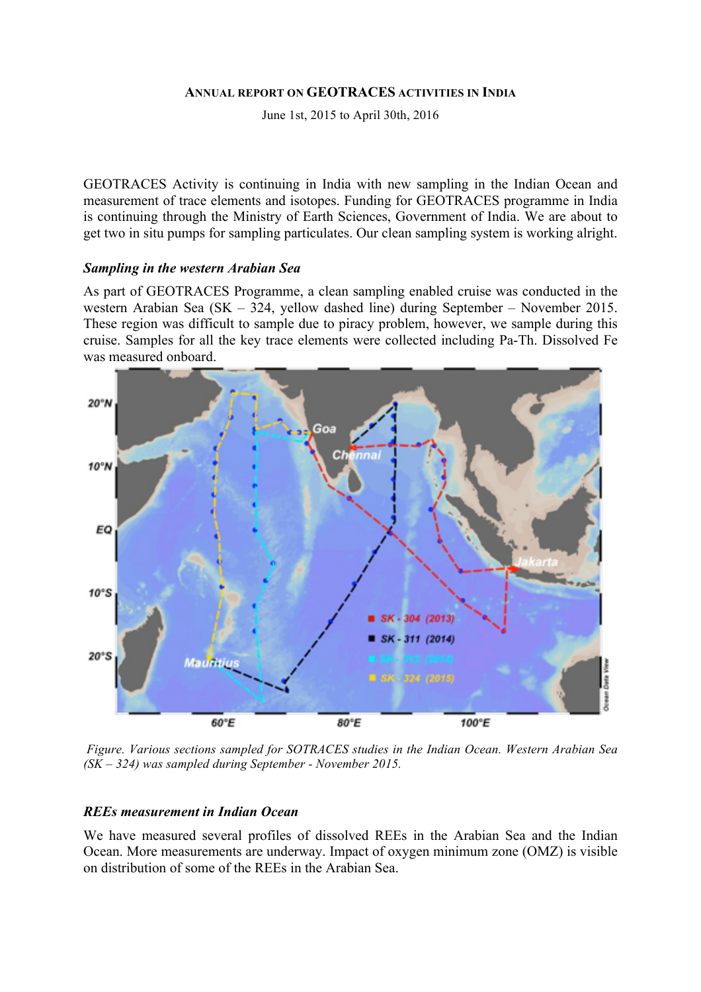## **ANNUAL REPORT ON GEOTRACES ACTIVITIES IN INDIA**

June 1st, 2015 to April 30th, 2016

GEOTRACES Activity is continuing in India with new sampling in the Indian Ocean and measurement of trace elements and isotopes. Funding for GEOTRACES programme in India is continuing through the Ministry of Earth Sciences, Government of India. We are about to get two in situ pumps for sampling particulates. Our clean sampling system is working alright.

## *Sampling in the western Arabian Sea*

As part of GEOTRACES Programme, a clean sampling enabled cruise was conducted in the western Arabian Sea (SK – 324, yellow dashed line) during September – November 2015. These region was difficult to sample due to piracy problem, however, we sample during this cruise. Samples for all the key trace elements were collected including Pa-Th. Dissolved Fe was measured onboard.



*Figure. Various sections sampled for SOTRACES studies in the Indian Ocean. Western Arabian Sea (SK – 324) was sampled during September - November 2015.*

## *REEs measurement in Indian Ocean*

We have measured several profiles of dissolved REEs in the Arabian Sea and the Indian Ocean. More measurements are underway. Impact of oxygen minimum zone (OMZ) is visible on distribution of some of the REEs in the Arabian Sea.